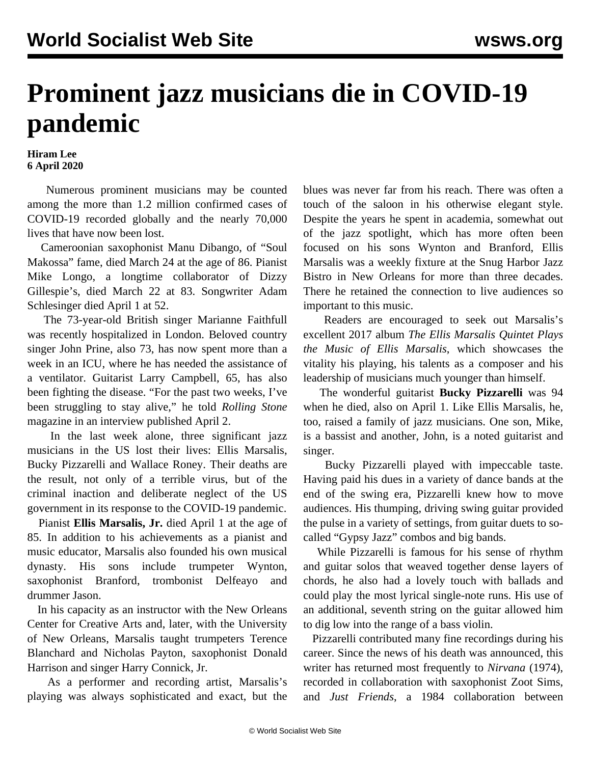## **Prominent jazz musicians die in COVID-19 pandemic**

**Hiram Lee 6 April 2020**

 Numerous prominent musicians may be counted among the more than 1.2 million confirmed cases of COVID-19 recorded globally and the nearly 70,000 lives that have now been lost.

 Cameroonian saxophonist Manu Dibango, of "Soul Makossa" fame, died March 24 at the age of 86. Pianist Mike Longo, a longtime collaborator of Dizzy Gillespie's, died March 22 at 83. Songwriter Adam Schlesinger died April 1 at 52.

 The 73-year-old British singer Marianne Faithfull was recently hospitalized in London. Beloved country singer John Prine, also 73, has now spent more than a week in an ICU, where he has needed the assistance of a ventilator. Guitarist Larry Campbell, 65, has also been fighting the disease. "For the past two weeks, I've been struggling to stay alive," he told *Rolling Stone* magazine in an interview published April 2.

 In the last week alone, three significant jazz musicians in the US lost their lives: Ellis Marsalis, Bucky Pizzarelli and Wallace Roney. Their deaths are the result, not only of a terrible virus, but of the criminal inaction and deliberate neglect of the US government in its response to the COVID-19 pandemic.

 Pianist **Ellis Marsalis, Jr.** died April 1 at the age of 85. In addition to his achievements as a pianist and music educator, Marsalis also founded his own musical dynasty. His sons include trumpeter Wynton, saxophonist Branford, trombonist Delfeayo and drummer Jason.

 In his capacity as an instructor with the New Orleans Center for Creative Arts and, later, with the University of New Orleans, Marsalis taught trumpeters Terence Blanchard and Nicholas Payton, saxophonist Donald Harrison and singer Harry Connick, Jr.

 As a performer and recording artist, Marsalis's playing was always sophisticated and exact, but the blues was never far from his reach. There was often a touch of the saloon in his otherwise elegant style. Despite the years he spent in academia, somewhat out of the jazz spotlight, which has more often been focused on his sons Wynton and Branford, Ellis Marsalis was a weekly fixture at the Snug Harbor Jazz Bistro in New Orleans for more than three decades. There he retained the connection to live audiences so important to this music.

 Readers are encouraged to seek out Marsalis's excellent 2017 [album](https://www.youtube.com/watch?v=GyH-70k6xxs) *The Ellis Marsalis Quintet Plays the Music of Ellis Marsalis*, which showcases the vitality his playing, his talents as a composer and his leadership of musicians much younger than himself.

 The wonderful guitarist **Bucky Pizzarelli** was 94 when he died, also on April 1. Like Ellis Marsalis, he, too, raised a family of jazz musicians. One son, Mike, is a bassist and another, John, is a noted guitarist and singer.

 Bucky Pizzarelli played with impeccable taste. Having paid his dues in a variety of dance bands at the end of the swing era, Pizzarelli knew how to move audiences. His thumping, driving swing guitar provided the pulse in a variety of settings, from guitar [duets](https://www.youtube.com/watch?v=36UBSUodBeg) to socalled "Gypsy Jazz" combos and big bands.

 While Pizzarelli is famous for his sense of rhythm and guitar solos that weaved together dense layers of chords, he also had a lovely touch with ballads and could play the most lyrical single-note runs. His use of an additional, seventh string on the guitar allowed him to dig low into the range of a bass violin.

 Pizzarelli contributed many fine recordings during his career. Since the news of his death was announced, this writer has returned most frequently to *Nirvana* (1974), recorded in collaboration with saxophonist Zoot Sims, and *Just Friends*, a 1984 collaboration between